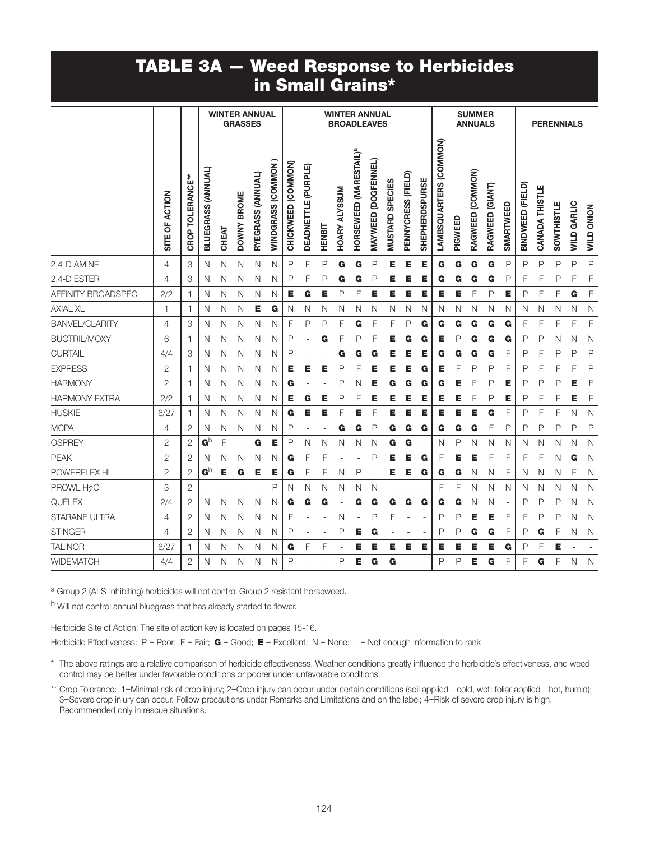## TABLE 3A — Weed Response to Herbicides in Small Grains\*

|                        |                |                  |                         |       | <b>WINTER ANNUAL</b><br><b>GRASSES</b> |                   |                   |                       |                            |        | <b>WINTER ANNUAL</b><br><b>BROADLEAVES</b> |                                    |                     |                                  |                    |                       |                        |              | <b>SUMMER</b><br><b>ANNUALS</b> |                 |              |                  |                |                   | <b>PERENNIALS</b>  |                   |
|------------------------|----------------|------------------|-------------------------|-------|----------------------------------------|-------------------|-------------------|-----------------------|----------------------------|--------|--------------------------------------------|------------------------------------|---------------------|----------------------------------|--------------------|-----------------------|------------------------|--------------|---------------------------------|-----------------|--------------|------------------|----------------|-------------------|--------------------|-------------------|
|                        | SITE OF ACTION | CROP TOLERANCE** | BLUEGRASS (ANNUAL)      | CHEAT | DOWNY BROME                            | RYEGRASS (ANNUAL) | WINDGRASS (COMMON | (COMMON)<br>CHICKWEED | <b>DEADNETTLE (PURPLE)</b> | HENBIT | <b>HOARY ALYSSUM</b>                       | HORSEWEED (MARESTAIL) <sup>ª</sup> | MAYWEED (DOGFENNEL) | <b>SPECIES</b><br><b>MUSTARD</b> | PENNYCRESS (FIELD) | <b>SHEPHERDSPURSE</b> | LAMBSQUARTERS (COMMON) | PIGWEED      | RAGWEED (COMMON)                | RAGWEED (GIANT) | SMARTWEED    | BINDWEED (FIELD) | CANADA THISTLE | <b>SOWTHISTLE</b> | <b>WILD GARLIC</b> | <b>WILD ONION</b> |
| 2,4-D AMINE            | 4              | 3                | N                       | N     | Ν                                      | N                 | N                 | P                     | F                          | P      | G                                          | G                                  | P                   | Е                                | Е                  | Е                     | G                      | G            | G                               | G               | $\mathsf{P}$ | P                | P              | P                 | P                  | $\mathsf{P}$      |
| 2,4-D ESTER            | $\overline{4}$ | 3                | N                       | N     | N                                      | N                 | Ν                 | P                     | F                          | P      | G                                          | G                                  | P                   | Е                                | E                  | E                     | G                      | G            | G                               | G               | $\mathsf{P}$ | F                | F              | P                 | F                  | F                 |
| AFFINITY BROADSPEC     | 2/2            | 1                | N                       | N     | N                                      | N                 | Ν                 | E                     | G                          | Е      | P                                          | F                                  | E                   | Е                                | E                  | E                     | Е                      | E            | F                               | P               | E            | P                | F              | F                 | G                  | F                 |
| <b>AXIAL XL</b>        | 1              | 1                | N                       | N     | N                                      | Е                 | G                 | N                     | N                          | N      | N                                          | N                                  | N                   | N                                | N                  | N                     | N                      | N            | N                               | N               | N            | N                | N              | N                 | N                  | $\mathsf{N}$      |
| <b>BANVEL/CLARITY</b>  | 4              | 3                | N                       | N     | N                                      | N                 | N                 | F                     | P                          | P      | F                                          | G                                  | F                   | F                                | P                  | G                     | G                      | G            | G                               | G               | G            | F                | F              | F                 | F                  | F                 |
| <b>BUCTRIL/MOXY</b>    | 6              | 1                | N                       | N     | N                                      | N                 | Ν                 | P                     |                            | G      | F                                          | P                                  | F                   | Е                                | G                  | G                     | Е                      | $\mathsf{P}$ | G                               | G               | G            | P                | P              | N                 | N                  | $\mathsf{N}$      |
| <b>CURTAIL</b>         | 4/4            | 3                | N                       | N     | N                                      | N                 | Ν                 | P                     |                            |        | G                                          | G                                  | G                   | Е                                | Е                  | E                     | G                      | G            | G                               | G               | F            | P                | F              | P                 | P                  | P                 |
| <b>EXPRESS</b>         | 2              | 1                | N                       | N     | N                                      | N                 | Ν                 | E                     | Е                          | Е      | Ρ                                          | F                                  | Е                   | Е                                | Е                  | G                     | Е                      | F            | P                               | P               | F            | P                | F              | F                 | F                  | P                 |
| <b>HARMONY</b>         | 2              | 1                | N                       | N     | N                                      | N                 | N                 | G                     | ä,                         | L.     | P                                          | N                                  | Е                   | G                                | G                  | G                     | G                      | Е            | F                               | P               | Е            | P                | $\mathsf{P}$   | P                 | Е                  | F                 |
| <b>HARMONY EXTRA</b>   | 2/2            | 1                | N                       | N     | N                                      | N                 | N                 | Е                     | G                          | Е      | P                                          | F                                  | E                   | Е                                | Е                  | Е                     | Е                      | Е            | F                               | P               | Е            | P                | F              | F                 | Е                  | F                 |
| <b>HUSKIE</b>          | 6/27           | 1                | N                       | N     | N                                      | N                 | Ν                 | G                     | Е                          | Е      | F                                          | Е                                  | F                   | Е                                | Е                  | Е                     | Е                      | Е            | Е                               | G               | F            | P                | F              | F                 | N                  | $\mathsf{N}$      |
| <b>MCPA</b>            | 4              | $\overline{2}$   | N                       | N     | N                                      | N                 | Ν                 | P                     |                            |        | G                                          | G                                  | P                   | G                                | G                  | G                     | G                      | G            | G                               | F               | $\mathsf{P}$ | P                | $\mathsf{P}$   | P                 | P                  | P                 |
| <b>OSPREY</b>          | 2              | 2                | $\mathbf{G}^{\text{b}}$ | F     |                                        | G                 | Е                 | Ρ                     | Ν                          | N      | N                                          | Ν                                  | N                   | G                                | G                  |                       | N                      | P            | N                               | Ν               | N            | N                | N              | N                 | N                  | $\mathsf{N}$      |
| <b>PEAK</b>            | $\overline{2}$ | $\mathbf{2}$     | N                       | N     | Ν                                      | N                 | Ν                 | G                     | F                          | F      |                                            | $\sim$                             | P                   | Е                                | Е                  | G                     | F                      | Е            | Е                               | F               | F            | F                | F              | N                 | G                  | $\mathsf{N}$      |
| POWERFLEX HL           | $\overline{2}$ | $\overline{2}$   | $\mathbf{G}^{\text{b}}$ | Е     | G                                      | Е                 | Е                 | G                     | F                          | F      | N                                          | P                                  | $\blacksquare$      | Е                                | Е                  | G                     | G                      | G            | N                               | Ν               | F            | N                | N              | N                 | F                  | $\mathsf{N}$      |
| PROWL H <sub>2</sub> O | 3              | $\overline{2}$   | ÷,                      |       |                                        |                   | P                 | N                     | Ν                          | N      | N                                          | N                                  | N                   |                                  |                    |                       | F                      | F            | N                               | N               | N            | N.               | N              | N                 | N                  | $\mathsf{N}$      |
| QUELEX                 | 2/4            | $\overline{2}$   | N                       | N     | N                                      | N                 | Ν                 | G                     | G                          | G      |                                            | G                                  | G                   | G                                | G                  | G                     | G                      | G            | N                               | N               | ÷,           | P                | P              | P                 | N                  | $\mathsf{N}$      |
| STARANE ULTRA          | 4              | $\mathbf{2}$     | N                       | N     | N                                      | N                 | Ν                 | F                     |                            |        | N                                          |                                    | P                   | F                                |                    |                       | P                      | P            | Е                               | Е               | F            | F                | P              | P                 | N                  | $\hbox{N}$        |
| <b>STINGER</b>         | 4              | 2                | N                       | N     | N                                      | N                 | Ν                 | Ρ                     |                            |        | P                                          | Е                                  | G                   |                                  |                    |                       | P                      | P            | G                               | G               | F            | P                | G              | F                 | N                  | $\mathsf{N}$      |
| <b>TALINOR</b>         | 6/27           | 1                | N                       | N     | N                                      | N                 | Ν                 | G                     | F                          | F      |                                            | E                                  | Е                   | Е                                | Е                  | Е                     | Е                      | Е            | Е                               | Е               | G            | P                | F              | E                 |                    |                   |
| <b>WIDEMATCH</b>       | 4/4            | 2                | Ν                       | N     | Ν                                      | N                 | Ν                 | Ρ                     |                            |        | Ρ                                          | E.                                 | G                   | G                                |                    |                       | P                      | P            | Е                               | G               | F            | F                | G              | F                 | N                  | $\mathsf{N}$      |

a Group 2 (ALS-inhibiting) herbicides will not control Group 2 resistant horseweed.

b Will not control annual bluegrass that has already started to flower.

Herbicide Site of Action: The site of action key is located on pages 15-16.

Herbicide Effectiveness: P = Poor; F = Fair;  $G = Good$ ; E = Excellent; N = None; - = Not enough information to rank

\* The above ratings are a relative comparison of herbicide effectiveness. Weather conditions greatly influence the herbicide's effectiveness, and weed control may be better under favorable conditions or poorer under unfavorable conditions.

\*\* Crop Tolerance: 1=Minimal risk of crop injury; 2=Crop injury can occur under certain conditions (soil applied—cold, wet: foliar applied—hot, humid); 3=Severe crop injury can occur. Follow precautions under Remarks and Limitations and on the label; 4=Risk of severe crop injury is high. Recommended only in rescue situations.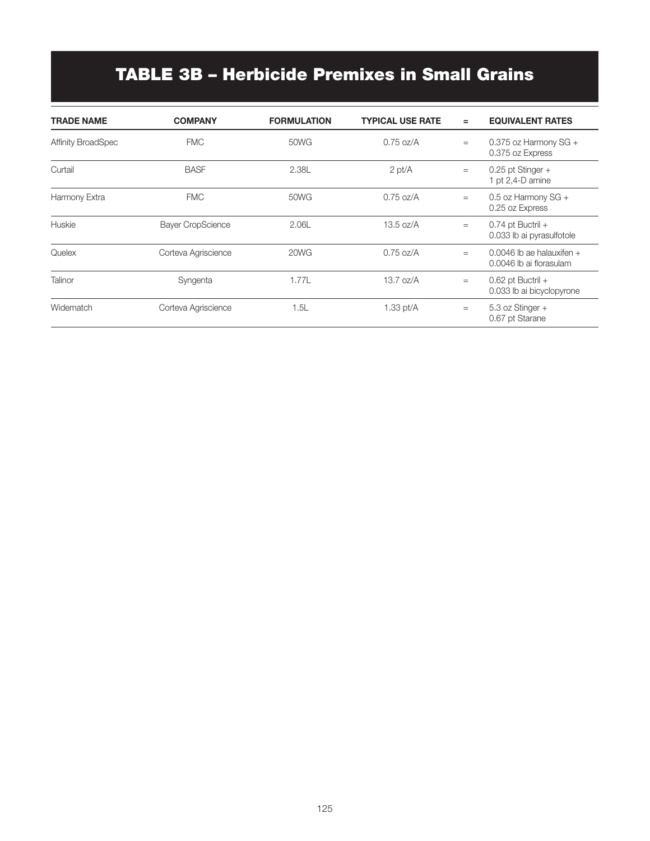# TABLE 3B – Herbicide Premixes in Small Grains

| <b>TRADE NAME</b>         | <b>COMPANY</b>           | <b>FORMULATION</b> | <b>TYPICAL USE RATE</b> | $=$ | <b>EQUIVALENT RATES</b>                                |
|---------------------------|--------------------------|--------------------|-------------------------|-----|--------------------------------------------------------|
| <b>Affinity BroadSpec</b> | <b>FMC</b>               | 50WG               | $0.75$ oz/A             | $=$ | 0.375 oz Harmony $SG +$<br>0.375 oz Express            |
| Curtail                   | <b>BASF</b>              | 2.38L              | $2$ pt/ $A$             | $=$ | $0.25$ pt Stinger +<br>1 pt 2,4-D amine                |
| Harmony Extra             | <b>FMC</b>               | 50WG               | $0.75$ oz/A             | $=$ | 0.5 oz Harmony SG +<br>0.25 oz Express                 |
| Huskie                    | <b>Bayer CropScience</b> | 2.06L              | 13.5 oz/A               | $=$ | $0.74$ pt Buctril +<br>0.033 lb ai pyrasulfotole       |
| Quelex                    | Corteva Agriscience      | 20WG               | $0.75$ oz/A             | $=$ | $0.0046$ lb ae halauxifen +<br>0.0046 lb ai florasulam |
| Talinor                   | Syngenta                 | 1.77L              | $13.7 \text{ oz/A}$     | $=$ | $0.62$ pt Buctril +<br>0.033 lb ai bicyclopyrone       |
| Widematch                 | Corteva Agriscience      | 1.5L               | 1.33 $pt/A$             | $=$ | 5.3 oz Stinger +<br>0.67 pt Starane                    |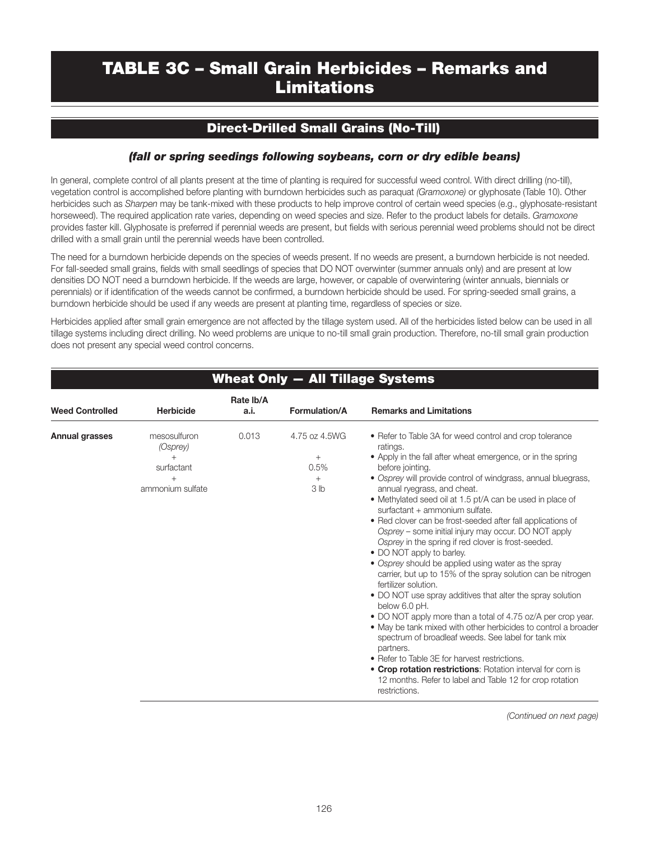## TABLE 3C – Small Grain Herbicides – Remarks and Limitations

### Direct-Drilled Small Grains (No-Till)

#### *(fall or spring seedings following soybeans, corn or dry edible beans)*

In general, complete control of all plants present at the time of planting is required for successful weed control. With direct drilling (no-till), vegetation control is accomplished before planting with burndown herbicides such as paraquat *(Gramoxone)* or glyphosate (Table 10). Other herbicides such as *Sharpen* may be tank-mixed with these products to help improve control of certain weed species (e.g., glyphosate-resistant horseweed). The required application rate varies, depending on weed species and size. Refer to the product labels for details. *Gramoxone* provides faster kill. Glyphosate is preferred if perennial weeds are present, but fields with serious perennial weed problems should not be direct drilled with a small grain until the perennial weeds have been controlled.

The need for a burndown herbicide depends on the species of weeds present. If no weeds are present, a burndown herbicide is not needed. For fall-seeded small grains, fields with small seedlings of species that DO NOT overwinter (summer annuals only) and are present at low densities DO NOT need a burndown herbicide. If the weeds are large, however, or capable of overwintering (winter annuals, biennials or perennials) or if identification of the weeds cannot be confirmed, a burndown herbicide should be used. For spring-seeded small grains, a burndown herbicide should be used if any weeds are present at planting time, regardless of species or size.

Herbicides applied after small grain emergence are not affected by the tillage system used. All of the herbicides listed below can be used in all tillage systems including direct drilling. No weed problems are unique to no-till small grain production. Therefore, no-till small grain production does not present any special weed control concerns.

|                        |                                                                   | Wheat Only - All Tillage Systems |                                                          |                                                                                                                                                                                                                                                                                                                                                                                                                                                                                                                                                                                                                                                                                                                                                                                                                                                                                                                                                                                                                                                                                                                                                                                                   |  |  |  |  |  |
|------------------------|-------------------------------------------------------------------|----------------------------------|----------------------------------------------------------|---------------------------------------------------------------------------------------------------------------------------------------------------------------------------------------------------------------------------------------------------------------------------------------------------------------------------------------------------------------------------------------------------------------------------------------------------------------------------------------------------------------------------------------------------------------------------------------------------------------------------------------------------------------------------------------------------------------------------------------------------------------------------------------------------------------------------------------------------------------------------------------------------------------------------------------------------------------------------------------------------------------------------------------------------------------------------------------------------------------------------------------------------------------------------------------------------|--|--|--|--|--|
| <b>Weed Controlled</b> | <b>Herbicide</b>                                                  | Rate Ib/A<br>a.i.                | <b>Formulation/A</b>                                     | <b>Remarks and Limitations</b>                                                                                                                                                                                                                                                                                                                                                                                                                                                                                                                                                                                                                                                                                                                                                                                                                                                                                                                                                                                                                                                                                                                                                                    |  |  |  |  |  |
| Annual grasses         | mesosulfuron<br>(Osprey)<br>surfactant<br>$+$<br>ammonium sulfate | 0.013                            | 4.75 oz 4.5WG<br>$^{+}$<br>0.5%<br>$+$<br>3 <sub>h</sub> | • Refer to Table 3A for weed control and crop tolerance<br>ratings.<br>• Apply in the fall after wheat emergence, or in the spring<br>before jointing.<br>• Osprey will provide control of windgrass, annual bluegrass,<br>annual ryegrass, and cheat.<br>• Methylated seed oil at 1.5 pt/A can be used in place of<br>surfactant + ammonium sulfate.<br>• Red clover can be frost-seeded after fall applications of<br>Osprey – some initial injury may occur. DO NOT apply<br>Osprey in the spring if red clover is frost-seeded.<br>• DO NOT apply to barley.<br>• Osprey should be applied using water as the spray<br>carrier, but up to 15% of the spray solution can be nitrogen<br>fertilizer solution.<br>• DO NOT use spray additives that alter the spray solution<br>below 6.0 pH.<br>• DO NOT apply more than a total of 4.75 oz/A per crop year.<br>• May be tank mixed with other herbicides to control a broader<br>spectrum of broadleaf weeds. See label for tank mix<br>partners.<br>• Refer to Table 3E for harvest restrictions.<br>• Crop rotation restrictions: Rotation interval for corn is<br>12 months. Refer to label and Table 12 for crop rotation<br>restrictions. |  |  |  |  |  |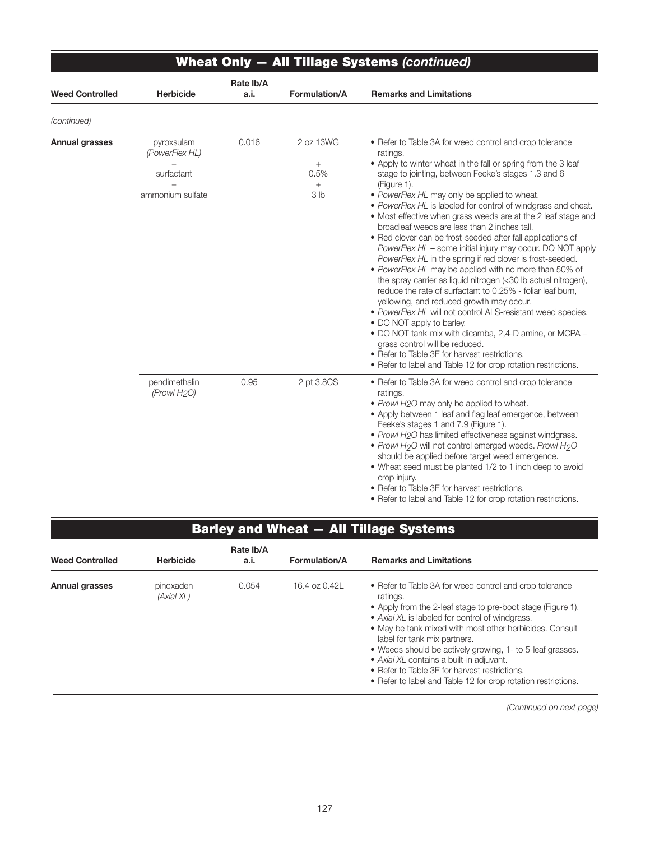|                        |                                                                                 | <b>Wheat Only - All Tillage Systems (continued)</b> |                                                          |                                                                                                                                                                                                                                                                                                                                                                                                                                                                                                                                                                                                                                                                                                                                                                                                                                                                                                                                                                                                                                                                                                                                                                                        |  |  |  |  |  |  |
|------------------------|---------------------------------------------------------------------------------|-----------------------------------------------------|----------------------------------------------------------|----------------------------------------------------------------------------------------------------------------------------------------------------------------------------------------------------------------------------------------------------------------------------------------------------------------------------------------------------------------------------------------------------------------------------------------------------------------------------------------------------------------------------------------------------------------------------------------------------------------------------------------------------------------------------------------------------------------------------------------------------------------------------------------------------------------------------------------------------------------------------------------------------------------------------------------------------------------------------------------------------------------------------------------------------------------------------------------------------------------------------------------------------------------------------------------|--|--|--|--|--|--|
| <b>Weed Controlled</b> | <b>Herbicide</b>                                                                | Rate Ib/A<br>a.i.                                   | Formulation/A                                            | <b>Remarks and Limitations</b>                                                                                                                                                                                                                                                                                                                                                                                                                                                                                                                                                                                                                                                                                                                                                                                                                                                                                                                                                                                                                                                                                                                                                         |  |  |  |  |  |  |
| (continued)            |                                                                                 |                                                     |                                                          |                                                                                                                                                                                                                                                                                                                                                                                                                                                                                                                                                                                                                                                                                                                                                                                                                                                                                                                                                                                                                                                                                                                                                                                        |  |  |  |  |  |  |
| Annual grasses         | pyroxsulam<br>(PowerFlex HL)<br>$+$<br>surfactant<br>$^{+}$<br>ammonium sulfate | 0.016                                               | 2 oz 13WG<br>$^{+}$<br>0.5%<br>$^{+}$<br>3 <sub>lb</sub> | • Refer to Table 3A for weed control and crop tolerance<br>ratings.<br>• Apply to winter wheat in the fall or spring from the 3 leaf<br>stage to jointing, between Feeke's stages 1.3 and 6<br>(Figure 1).<br>• PowerFlex HL may only be applied to wheat.<br>• PowerFlex HL is labeled for control of windgrass and cheat.<br>• Most effective when grass weeds are at the 2 leaf stage and<br>broadleaf weeds are less than 2 inches tall.<br>• Red clover can be frost-seeded after fall applications of<br>PowerFlex HL – some initial injury may occur. DO NOT apply<br>PowerFlex HL in the spring if red clover is frost-seeded.<br>• PowerFlex HL may be applied with no more than 50% of<br>the spray carrier as liquid nitrogen (<30 lb actual nitrogen),<br>reduce the rate of surfactant to 0.25% - foliar leaf burn,<br>yellowing, and reduced growth may occur.<br>• PowerFlex HL will not control ALS-resistant weed species.<br>• DO NOT apply to barley.<br>. DO NOT tank-mix with dicamba, 2,4-D amine, or MCPA -<br>grass control will be reduced.<br>• Refer to Table 3E for harvest restrictions.<br>• Refer to label and Table 12 for crop rotation restrictions. |  |  |  |  |  |  |
|                        | pendimethalin<br>(Prowl H <sub>2</sub> O)                                       | 0.95                                                | 2 pt 3.8CS                                               | • Refer to Table 3A for weed control and crop tolerance<br>ratings.<br>• Prowl H2O may only be applied to wheat.<br>• Apply between 1 leaf and flag leaf emergence, between<br>Feeke's stages 1 and 7.9 (Figure 1).<br>• Prowl H2O has limited effectiveness against windgrass.<br>• Prowl H <sub>2</sub> O will not control emerged weeds. Prowl H <sub>2</sub> O<br>should be applied before target weed emergence.<br>• Wheat seed must be planted 1/2 to 1 inch deep to avoid<br>crop injury.<br>• Refer to Table 3E for harvest restrictions.<br>• Refer to label and Table 12 for crop rotation restrictions.                                                                                                                                                                                                                                                                                                                                                                                                                                                                                                                                                                    |  |  |  |  |  |  |

## Barley and Wheat — All Tillage Systems

| <b>Weed Controlled</b> | <b>Herbicide</b>        | Rate Ib/A<br>a.i. | <b>Formulation/A</b> | <b>Remarks and Limitations</b>                                                                                                                                                                                                                                                                                                                                                                                                                                                                              |
|------------------------|-------------------------|-------------------|----------------------|-------------------------------------------------------------------------------------------------------------------------------------------------------------------------------------------------------------------------------------------------------------------------------------------------------------------------------------------------------------------------------------------------------------------------------------------------------------------------------------------------------------|
| <b>Annual grasses</b>  | pinoxaden<br>(Axial XL) | 0.054             | 16.4 oz 0.42L        | • Refer to Table 3A for weed control and crop tolerance<br>ratings.<br>• Apply from the 2-leaf stage to pre-boot stage (Figure 1).<br>• Axial XL is labeled for control of windgrass.<br>• May be tank mixed with most other herbicides. Consult<br>label for tank mix partners.<br>• Weeds should be actively growing, 1- to 5-leaf grasses.<br>• Axial XL contains a built-in adjuvant.<br>• Refer to Table 3E for harvest restrictions.<br>• Refer to label and Table 12 for crop rotation restrictions. |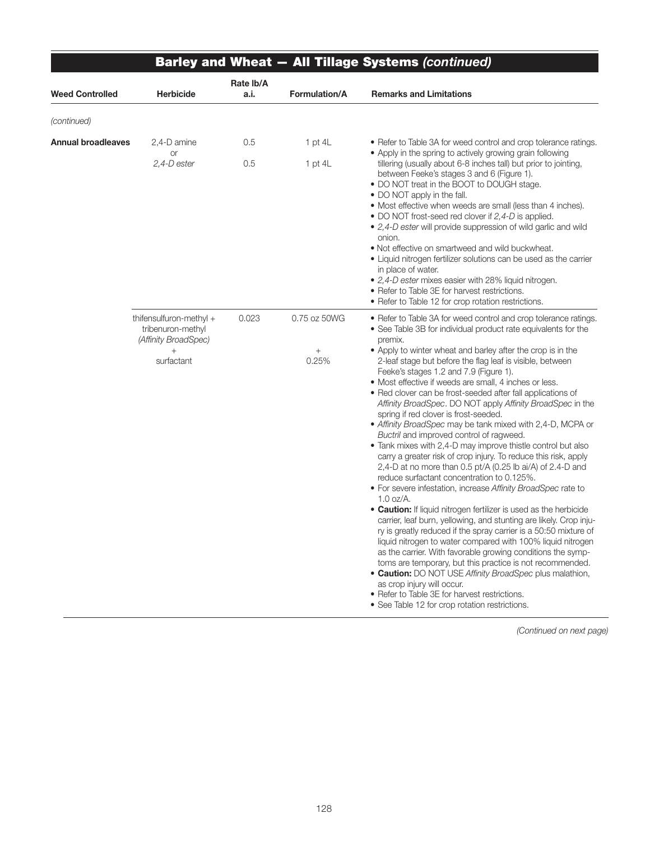|                           |                                                                                              |                   |                                          | <b>Barley and Wheat - All Tillage Systems (continued)</b>                                                                                                                                                                                                                                                                                                                                                                                                                                                                                                                                                                                                                                                                                                                                                                                                                                                                                                                                                                                                                                                                                                                                                                                                                                                                                                                                                                                                                                                                                                                                           |
|---------------------------|----------------------------------------------------------------------------------------------|-------------------|------------------------------------------|-----------------------------------------------------------------------------------------------------------------------------------------------------------------------------------------------------------------------------------------------------------------------------------------------------------------------------------------------------------------------------------------------------------------------------------------------------------------------------------------------------------------------------------------------------------------------------------------------------------------------------------------------------------------------------------------------------------------------------------------------------------------------------------------------------------------------------------------------------------------------------------------------------------------------------------------------------------------------------------------------------------------------------------------------------------------------------------------------------------------------------------------------------------------------------------------------------------------------------------------------------------------------------------------------------------------------------------------------------------------------------------------------------------------------------------------------------------------------------------------------------------------------------------------------------------------------------------------------------|
| <b>Weed Controlled</b>    | <b>Herbicide</b>                                                                             | Rate Ib/A<br>a.i. | Formulation/A                            | <b>Remarks and Limitations</b>                                                                                                                                                                                                                                                                                                                                                                                                                                                                                                                                                                                                                                                                                                                                                                                                                                                                                                                                                                                                                                                                                                                                                                                                                                                                                                                                                                                                                                                                                                                                                                      |
| (continued)               |                                                                                              |                   |                                          |                                                                                                                                                                                                                                                                                                                                                                                                                                                                                                                                                                                                                                                                                                                                                                                                                                                                                                                                                                                                                                                                                                                                                                                                                                                                                                                                                                                                                                                                                                                                                                                                     |
| <b>Annual broadleaves</b> | 2,4-D amine<br><b>or</b>                                                                     | 0.5               | 1 pt $4L$                                | • Refer to Table 3A for weed control and crop tolerance ratings.<br>• Apply in the spring to actively growing grain following                                                                                                                                                                                                                                                                                                                                                                                                                                                                                                                                                                                                                                                                                                                                                                                                                                                                                                                                                                                                                                                                                                                                                                                                                                                                                                                                                                                                                                                                       |
|                           | 2,4-D ester                                                                                  | 0.5               | 1 pt $4L$                                | tillering (usually about 6-8 inches tall) but prior to jointing,<br>between Feeke's stages 3 and 6 (Figure 1).<br>• DO NOT treat in the BOOT to DOUGH stage.<br>• DO NOT apply in the fall.<br>• Most effective when weeds are small (less than 4 inches).<br>• DO NOT frost-seed red clover if 2,4-D is applied.<br>• 2,4-D ester will provide suppression of wild garlic and wild<br>onion.<br>. Not effective on smartweed and wild buckwheat.<br>• Liquid nitrogen fertilizer solutions can be used as the carrier<br>in place of water.<br>• 2,4-D ester mixes easier with 28% liquid nitrogen.<br>• Refer to Table 3E for harvest restrictions.<br>• Refer to Table 12 for crop rotation restrictions.                                                                                                                                                                                                                                                                                                                                                                                                                                                                                                                                                                                                                                                                                                                                                                                                                                                                                        |
|                           | thifensulfuron-methyl +<br>tribenuron-methyl<br>(Affinity BroadSpec)<br>$^{+}$<br>surfactant | 0.023             | 0.75 oz 50WG<br>$\! + \!\!\!\!$<br>0.25% | • Refer to Table 3A for weed control and crop tolerance ratings.<br>• See Table 3B for individual product rate equivalents for the<br>premix.<br>• Apply to winter wheat and barley after the crop is in the<br>2-leaf stage but before the flag leaf is visible, between<br>Feeke's stages 1.2 and 7.9 (Figure 1).<br>• Most effective if weeds are small, 4 inches or less.<br>• Red clover can be frost-seeded after fall applications of<br>Affinity BroadSpec. DO NOT apply Affinity BroadSpec in the<br>spring if red clover is frost-seeded.<br>• Affinity BroadSpec may be tank mixed with 2,4-D, MCPA or<br>Buctril and improved control of ragweed.<br>• Tank mixes with 2,4-D may improve thistle control but also<br>carry a greater risk of crop injury. To reduce this risk, apply<br>2,4-D at no more than 0.5 pt/A (0.25 lb ai/A) of 2.4-D and<br>reduce surfactant concentration to 0.125%.<br>• For severe infestation, increase Affinity BroadSpec rate to<br>$1.0$ oz/A.<br>• Caution: If liquid nitrogen fertilizer is used as the herbicide<br>carrier, leaf burn, yellowing, and stunting are likely. Crop inju-<br>ry is greatly reduced if the spray carrier is a 50:50 mixture of<br>liquid nitrogen to water compared with 100% liquid nitrogen<br>as the carrier. With favorable growing conditions the symp-<br>toms are temporary, but this practice is not recommended.<br>• Caution: DO NOT USE Affinity BroadSpec plus malathion,<br>as crop injury will occur.<br>• Refer to Table 3E for harvest restrictions.<br>• See Table 12 for crop rotation restrictions. |

٦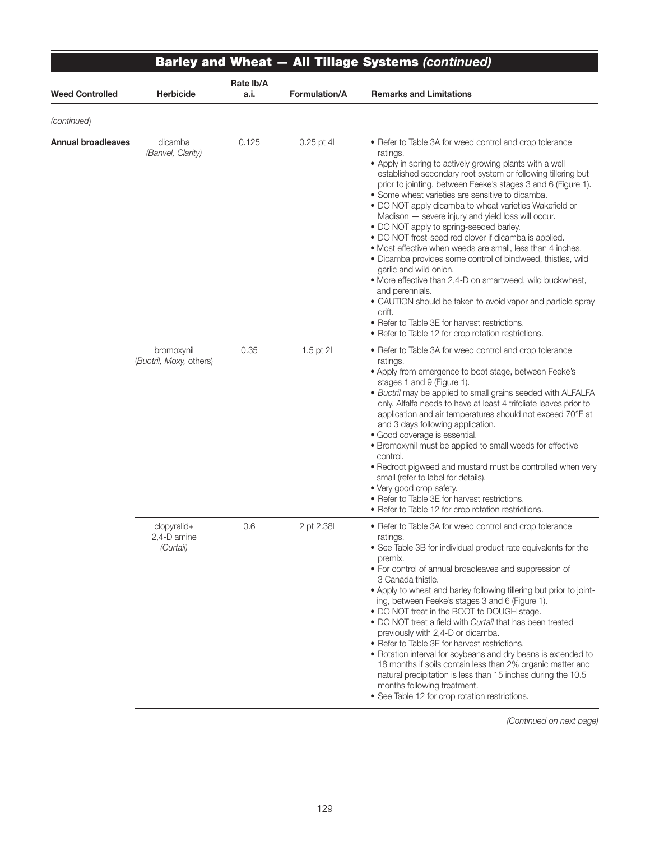|                        |                                         |                   |               | <b>Barley and Wheat - All Tillage Systems (continued)</b>                                                                                                                                                                                                                                                                                                                                                                                                                                                                                                                                                                                                                                                                                                                                                                                                                                                                                                        |
|------------------------|-----------------------------------------|-------------------|---------------|------------------------------------------------------------------------------------------------------------------------------------------------------------------------------------------------------------------------------------------------------------------------------------------------------------------------------------------------------------------------------------------------------------------------------------------------------------------------------------------------------------------------------------------------------------------------------------------------------------------------------------------------------------------------------------------------------------------------------------------------------------------------------------------------------------------------------------------------------------------------------------------------------------------------------------------------------------------|
| <b>Weed Controlled</b> | <b>Herbicide</b>                        | Rate lb/A<br>a.i. | Formulation/A | <b>Remarks and Limitations</b>                                                                                                                                                                                                                                                                                                                                                                                                                                                                                                                                                                                                                                                                                                                                                                                                                                                                                                                                   |
| (continued)            |                                         |                   |               |                                                                                                                                                                                                                                                                                                                                                                                                                                                                                                                                                                                                                                                                                                                                                                                                                                                                                                                                                                  |
| Annual broadleaves     | dicamba<br>(Banvel, Clarity)            | 0.125             | 0.25 pt 4L    | • Refer to Table 3A for weed control and crop tolerance<br>ratings.<br>• Apply in spring to actively growing plants with a well<br>established secondary root system or following tillering but<br>prior to jointing, between Feeke's stages 3 and 6 (Figure 1).<br>• Some wheat varieties are sensitive to dicamba.<br>. DO NOT apply dicamba to wheat varieties Wakefield or<br>Madison - severe injury and yield loss will occur.<br>• DO NOT apply to spring-seeded barley.<br>• DO NOT frost-seed red clover if dicamba is applied.<br>• Most effective when weeds are small, less than 4 inches.<br>• Dicamba provides some control of bindweed, thistles, wild<br>garlic and wild onion.<br>. More effective than 2,4-D on smartweed, wild buckwheat,<br>and perennials.<br>• CAUTION should be taken to avoid vapor and particle spray<br>drift.<br>• Refer to Table 3E for harvest restrictions.<br>• Refer to Table 12 for crop rotation restrictions. |
|                        | bromoxynil<br>(Buctril, Moxy, others)   | 0.35              | 1.5 pt 2L     | • Refer to Table 3A for weed control and crop tolerance<br>ratings.<br>• Apply from emergence to boot stage, between Feeke's<br>stages 1 and 9 (Figure 1).<br>• Buctril may be applied to small grains seeded with ALFALFA<br>only. Alfalfa needs to have at least 4 trifoliate leaves prior to<br>application and air temperatures should not exceed 70°F at<br>and 3 days following application.<br>• Good coverage is essential.<br>• Bromoxynil must be applied to small weeds for effective<br>control.<br>• Redroot pigweed and mustard must be controlled when very<br>small (refer to label for details).<br>• Very good crop safety.<br>• Refer to Table 3E for harvest restrictions.<br>• Refer to Table 12 for crop rotation restrictions.                                                                                                                                                                                                            |
|                        | clopyralid+<br>2,4-D amine<br>(Curtail) | 0.6               | 2 pt 2.38L    | • Refer to Table 3A for weed control and crop tolerance<br>ratings.<br>• See Table 3B for individual product rate equivalents for the<br>premix.<br>• For control of annual broadleaves and suppression of<br>3 Canada thistle.<br>. Apply to wheat and barley following tillering but prior to joint-<br>ing, between Feeke's stages 3 and 6 (Figure 1).<br>• DO NOT treat in the BOOT to DOUGH stage.<br>• DO NOT treat a field with Curtail that has been treated<br>previously with 2,4-D or dicamba.<br>• Refer to Table 3E for harvest restrictions.<br>• Rotation interval for soybeans and dry beans is extended to<br>18 months if soils contain less than 2% organic matter and<br>natural precipitation is less than 15 inches during the 10.5<br>months following treatment.<br>• See Table 12 for crop rotation restrictions.                                                                                                                       |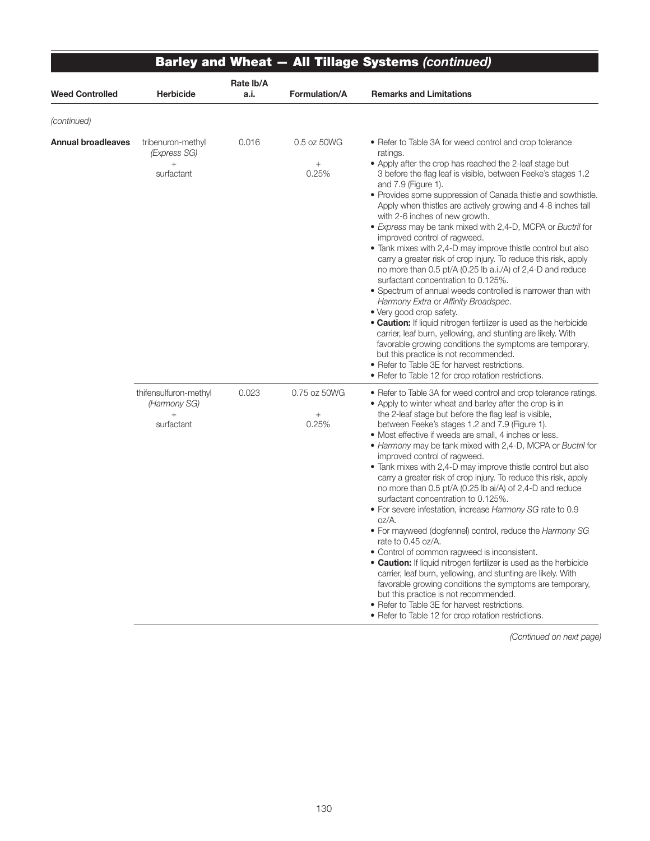|                           |                                                            |                   |                                          | <b>Barley and Wheat - All Tillage Systems (continued)</b>                                                                                                                                                                                                                                                                                                                                                                                                                                                                                                                                                                                                                                                                                                                                                                                                                                                                                                                                                                                                                                                                                                                                                             |
|---------------------------|------------------------------------------------------------|-------------------|------------------------------------------|-----------------------------------------------------------------------------------------------------------------------------------------------------------------------------------------------------------------------------------------------------------------------------------------------------------------------------------------------------------------------------------------------------------------------------------------------------------------------------------------------------------------------------------------------------------------------------------------------------------------------------------------------------------------------------------------------------------------------------------------------------------------------------------------------------------------------------------------------------------------------------------------------------------------------------------------------------------------------------------------------------------------------------------------------------------------------------------------------------------------------------------------------------------------------------------------------------------------------|
| <b>Weed Controlled</b>    | <b>Herbicide</b>                                           | Rate lb/A<br>a.i. | <b>Formulation/A</b>                     | <b>Remarks and Limitations</b>                                                                                                                                                                                                                                                                                                                                                                                                                                                                                                                                                                                                                                                                                                                                                                                                                                                                                                                                                                                                                                                                                                                                                                                        |
| (continued)               |                                                            |                   |                                          |                                                                                                                                                                                                                                                                                                                                                                                                                                                                                                                                                                                                                                                                                                                                                                                                                                                                                                                                                                                                                                                                                                                                                                                                                       |
| <b>Annual broadleaves</b> | tribenuron-methyl<br>(Express SG)<br>$^{+}$<br>surfactant  | 0.016             | 0.5 oz 50WG<br>$\! + \!\!\!\!$<br>0.25%  | • Refer to Table 3A for weed control and crop tolerance<br>ratings.<br>• Apply after the crop has reached the 2-leaf stage but<br>3 before the flag leaf is visible, between Feeke's stages 1.2<br>and 7.9 (Figure 1).<br>· Provides some suppression of Canada thistle and sowthistle.<br>Apply when thistles are actively growing and 4-8 inches tall<br>with 2-6 inches of new growth.<br>• Express may be tank mixed with 2,4-D, MCPA or Buctril for<br>improved control of ragweed.<br>• Tank mixes with 2,4-D may improve thistle control but also<br>carry a greater risk of crop injury. To reduce this risk, apply<br>no more than 0.5 pt/A (0.25 lb a.i./A) of 2,4-D and reduce<br>surfactant concentration to 0.125%.<br>• Spectrum of annual weeds controlled is narrower than with<br>Harmony Extra or Affinity Broadspec.<br>• Very good crop safety.<br>. Caution: If liquid nitrogen fertilizer is used as the herbicide<br>carrier, leaf burn, yellowing, and stunting are likely. With<br>favorable growing conditions the symptoms are temporary,<br>but this practice is not recommended.<br>• Refer to Table 3E for harvest restrictions.<br>• Refer to Table 12 for crop rotation restrictions. |
|                           | thifensulfuron-methyl<br>(Harmony SG)<br>$+$<br>surfactant | 0.023             | 0.75 oz 50WG<br>$\! + \!\!\!\!$<br>0.25% | • Refer to Table 3A for weed control and crop tolerance ratings.<br>• Apply to winter wheat and barley after the crop is in<br>the 2-leaf stage but before the flag leaf is visible,<br>between Feeke's stages 1.2 and 7.9 (Figure 1).<br>• Most effective if weeds are small, 4 inches or less.<br>• Harmony may be tank mixed with 2,4-D, MCPA or Buctril for<br>improved control of ragweed.<br>• Tank mixes with 2,4-D may improve thistle control but also<br>carry a greater risk of crop injury. To reduce this risk, apply<br>no more than 0.5 pt/A (0.25 lb ai/A) of 2,4-D and reduce<br>surfactant concentration to 0.125%.<br>. For severe infestation, increase Harmony SG rate to 0.9<br>oz/A.<br>• For mayweed (dogfennel) control, reduce the Harmony SG<br>rate to 0.45 oz/A.<br>• Control of common ragweed is inconsistent.<br>. Caution: If liquid nitrogen fertilizer is used as the herbicide<br>carrier, leaf burn, yellowing, and stunting are likely. With<br>favorable growing conditions the symptoms are temporary,<br>but this practice is not recommended.<br>• Refer to Table 3E for harvest restrictions.<br>• Refer to Table 12 for crop rotation restrictions.                       |

∍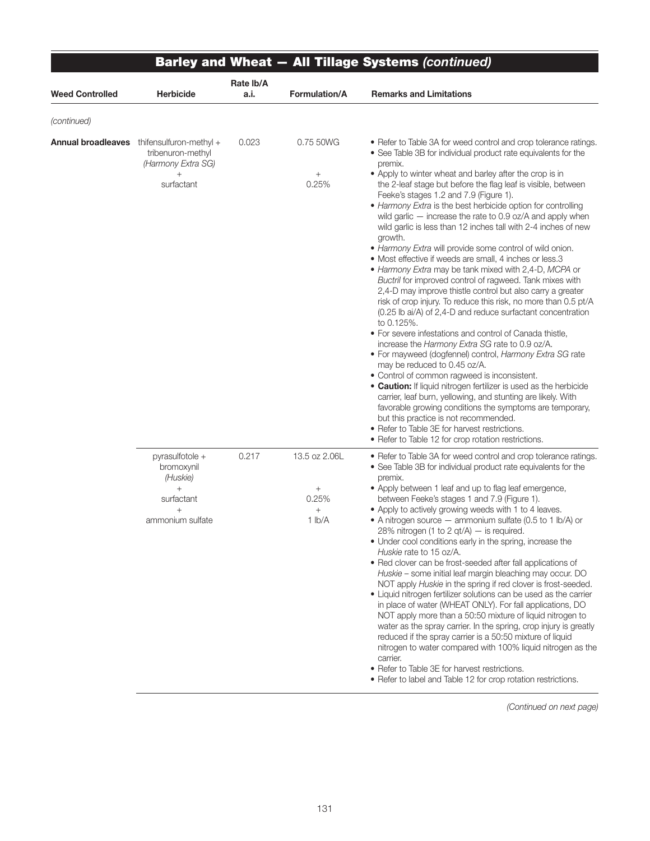|                        |                                                                                                 |                   |                                                   | <b>Barley and Wheat - All Tillage Systems (continued)</b>                                                                                                                                                                                                                                                                                                                                                                                                                                                                                                                                                                                                                                                                                                                                                                                                                                                                                                                                                                                                                                                                                                                                                                                                                                                                                                                                                                                                                                                                                                                                             |
|------------------------|-------------------------------------------------------------------------------------------------|-------------------|---------------------------------------------------|-------------------------------------------------------------------------------------------------------------------------------------------------------------------------------------------------------------------------------------------------------------------------------------------------------------------------------------------------------------------------------------------------------------------------------------------------------------------------------------------------------------------------------------------------------------------------------------------------------------------------------------------------------------------------------------------------------------------------------------------------------------------------------------------------------------------------------------------------------------------------------------------------------------------------------------------------------------------------------------------------------------------------------------------------------------------------------------------------------------------------------------------------------------------------------------------------------------------------------------------------------------------------------------------------------------------------------------------------------------------------------------------------------------------------------------------------------------------------------------------------------------------------------------------------------------------------------------------------------|
| <b>Weed Controlled</b> | Herbicide                                                                                       | Rate lb/A<br>a.i. | Formulation/A                                     | <b>Remarks and Limitations</b>                                                                                                                                                                                                                                                                                                                                                                                                                                                                                                                                                                                                                                                                                                                                                                                                                                                                                                                                                                                                                                                                                                                                                                                                                                                                                                                                                                                                                                                                                                                                                                        |
| (continued)            |                                                                                                 |                   |                                                   |                                                                                                                                                                                                                                                                                                                                                                                                                                                                                                                                                                                                                                                                                                                                                                                                                                                                                                                                                                                                                                                                                                                                                                                                                                                                                                                                                                                                                                                                                                                                                                                                       |
| Annual broadleaves     | thifensulfuron-methyl $+$<br>tribenuron-methyl<br>(Harmony Extra SG)<br>$^{+}$<br>surfactant    | 0.023             | 0.75 50WG<br>$\! + \!\!\!\!$<br>0.25%             | • Refer to Table 3A for weed control and crop tolerance ratings.<br>• See Table 3B for individual product rate equivalents for the<br>premix.<br>• Apply to winter wheat and barley after the crop is in<br>the 2-leaf stage but before the flag leaf is visible, between<br>Feeke's stages 1.2 and 7.9 (Figure 1).<br>• Harmony Extra is the best herbicide option for controlling<br>wild garlic - increase the rate to 0.9 oz/A and apply when<br>wild garlic is less than 12 inches tall with 2-4 inches of new<br>growth.<br>• Harmony Extra will provide some control of wild onion.<br>• Most effective if weeds are small, 4 inches or less.3<br>• Harmony Extra may be tank mixed with 2,4-D, MCPA or<br>Buctril for improved control of ragweed. Tank mixes with<br>2,4-D may improve thistle control but also carry a greater<br>risk of crop injury. To reduce this risk, no more than 0.5 pt/A<br>(0.25 lb ai/A) of 2,4-D and reduce surfactant concentration<br>to 0.125%.<br>• For severe infestations and control of Canada thistle,<br>increase the Harmony Extra SG rate to 0.9 oz/A.<br>• For mayweed (dogfennel) control, Harmony Extra SG rate<br>may be reduced to 0.45 oz/A.<br>• Control of common ragweed is inconsistent.<br>• Caution: If liquid nitrogen fertilizer is used as the herbicide<br>carrier, leaf burn, yellowing, and stunting are likely. With<br>favorable growing conditions the symptoms are temporary,<br>but this practice is not recommended.<br>• Refer to Table 3E for harvest restrictions.<br>• Refer to Table 12 for crop rotation restrictions. |
|                        | pyrasulfotole +<br>bromoxynil<br>(Huskie)<br>$^{+}$<br>surfactant<br>$^{+}$<br>ammonium sulfate | 0.217             | 13.5 oz 2.06L<br>$+$<br>0.25%<br>$^{+}$<br>1 lb/A | • Refer to Table 3A for weed control and crop tolerance ratings.<br>• See Table 3B for individual product rate equivalents for the<br>premix.<br>• Apply between 1 leaf and up to flag leaf emergence,<br>between Feeke's stages 1 and 7.9 (Figure 1).<br>• Apply to actively growing weeds with 1 to 4 leaves.<br>• A nitrogen source $-$ ammonium sulfate (0.5 to 1 lb/A) or<br>28% nitrogen (1 to 2 qt/A) $-$ is required.<br>• Under cool conditions early in the spring, increase the<br>Huskie rate to 15 oz/A.<br>• Red clover can be frost-seeded after fall applications of<br>Huskie – some initial leaf margin bleaching may occur. DO<br>NOT apply Huskie in the spring if red clover is frost-seeded.<br>• Liquid nitrogen fertilizer solutions can be used as the carrier<br>in place of water (WHEAT ONLY). For fall applications, DO<br>NOT apply more than a 50:50 mixture of liquid nitrogen to<br>water as the spray carrier. In the spring, crop injury is greatly<br>reduced if the spray carrier is a 50:50 mixture of liquid<br>nitrogen to water compared with 100% liquid nitrogen as the<br>carrier.<br>• Refer to Table 3E for harvest restrictions.<br>• Refer to label and Table 12 for crop rotation restrictions.                                                                                                                                                                                                                                                                                                                                                      |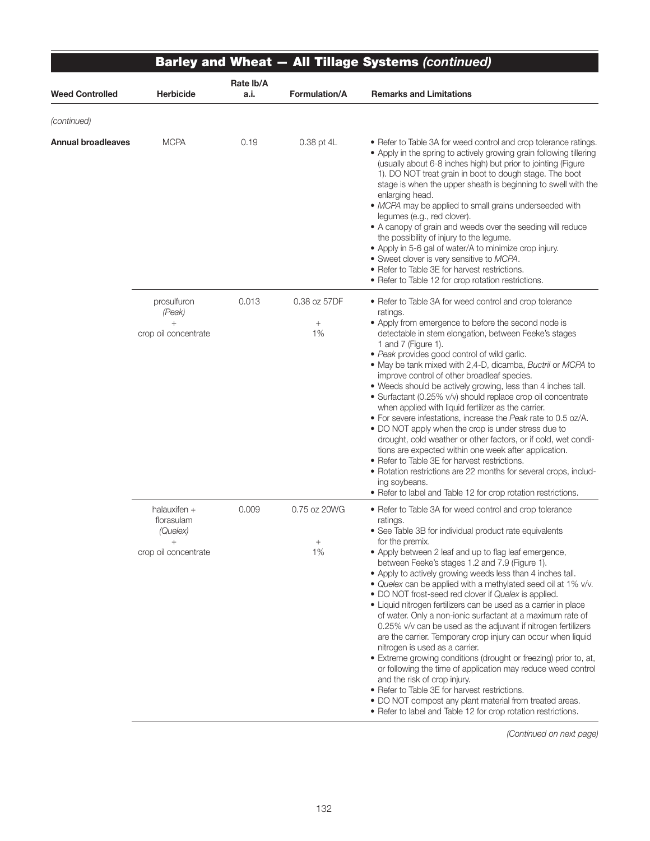|                        |                                                                            |                   |                                       | <b>Barley and Wheat - All Tillage Systems (continued)</b>                                                                                                                                                                                                                                                                                                                                                                                                                                                                                                                                                                                                                                                                                                                                                                                                                                                                                                                                                                                                                                               |
|------------------------|----------------------------------------------------------------------------|-------------------|---------------------------------------|---------------------------------------------------------------------------------------------------------------------------------------------------------------------------------------------------------------------------------------------------------------------------------------------------------------------------------------------------------------------------------------------------------------------------------------------------------------------------------------------------------------------------------------------------------------------------------------------------------------------------------------------------------------------------------------------------------------------------------------------------------------------------------------------------------------------------------------------------------------------------------------------------------------------------------------------------------------------------------------------------------------------------------------------------------------------------------------------------------|
| <b>Weed Controlled</b> | <b>Herbicide</b>                                                           | Rate Ib/A<br>a.i. | <b>Formulation/A</b>                  | <b>Remarks and Limitations</b>                                                                                                                                                                                                                                                                                                                                                                                                                                                                                                                                                                                                                                                                                                                                                                                                                                                                                                                                                                                                                                                                          |
| (continued)            |                                                                            |                   |                                       |                                                                                                                                                                                                                                                                                                                                                                                                                                                                                                                                                                                                                                                                                                                                                                                                                                                                                                                                                                                                                                                                                                         |
| Annual broadleaves     | <b>MCPA</b>                                                                | 0.19              | 0.38 pt 4L                            | • Refer to Table 3A for weed control and crop tolerance ratings.<br>• Apply in the spring to actively growing grain following tillering<br>(usually about 6-8 inches high) but prior to jointing (Figure<br>1). DO NOT treat grain in boot to dough stage. The boot<br>stage is when the upper sheath is beginning to swell with the<br>enlarging head.<br>· MCPA may be applied to small grains underseeded with<br>legumes (e.g., red clover).<br>• A canopy of grain and weeds over the seeding will reduce<br>the possibility of injury to the legume.<br>• Apply in 5-6 gal of water/A to minimize crop injury.<br>• Sweet clover is very sensitive to MCPA.<br>• Refer to Table 3E for harvest restrictions.<br>• Refer to Table 12 for crop rotation restrictions.                                                                                                                                                                                                                                                                                                                               |
|                        | prosulfuron<br>(Peak)<br>$^{+}$<br>crop oil concentrate                    | 0.013             | 0.38 oz 57DF<br>$\! + \!\!\!\!$<br>1% | • Refer to Table 3A for weed control and crop tolerance<br>ratings.<br>• Apply from emergence to before the second node is<br>detectable in stem elongation, between Feeke's stages<br>1 and 7 (Figure 1).<br>• Peak provides good control of wild garlic.<br>• May be tank mixed with 2,4-D, dicamba, Buctril or MCPA to<br>improve control of other broadleaf species.<br>• Weeds should be actively growing, less than 4 inches tall.<br>• Surfactant (0.25% v/v) should replace crop oil concentrate<br>when applied with liquid fertilizer as the carrier.<br>• For severe infestations, increase the Peak rate to 0.5 oz/A.<br>• DO NOT apply when the crop is under stress due to<br>drought, cold weather or other factors, or if cold, wet condi-<br>tions are expected within one week after application.<br>• Refer to Table 3E for harvest restrictions.<br>• Rotation restrictions are 22 months for several crops, includ-<br>ing soybeans.<br>• Refer to label and Table 12 for crop rotation restrictions.                                                                              |
|                        | halauxifen $+$<br>florasulam<br>(Quelex)<br>$^{+}$<br>crop oil concentrate | 0.009             | 0.75 oz 20WG<br>$\! + \!\!\!\!$<br>1% | • Refer to Table 3A for weed control and crop tolerance<br>ratings.<br>• See Table 3B for individual product rate equivalents<br>for the premix.<br>• Apply between 2 leaf and up to flag leaf emergence,<br>between Feeke's stages 1.2 and 7.9 (Figure 1).<br>• Apply to actively growing weeds less than 4 inches tall.<br>• Quelex can be applied with a methylated seed oil at 1% v/v.<br>• DO NOT frost-seed red clover if Quelex is applied.<br>• Liquid nitrogen fertilizers can be used as a carrier in place<br>of water. Only a non-ionic surfactant at a maximum rate of<br>0.25% v/v can be used as the adjuvant if nitrogen fertilizers<br>are the carrier. Temporary crop injury can occur when liquid<br>nitrogen is used as a carrier.<br>• Extreme growing conditions (drought or freezing) prior to, at,<br>or following the time of application may reduce weed control<br>and the risk of crop injury.<br>• Refer to Table 3E for harvest restrictions.<br>. DO NOT compost any plant material from treated areas.<br>• Refer to label and Table 12 for crop rotation restrictions. |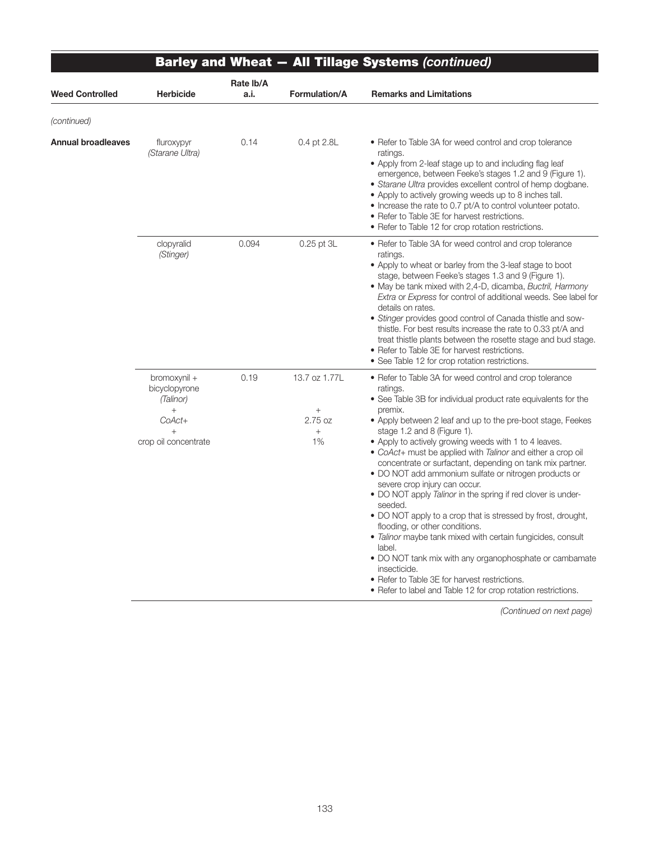|                           |                                                                                       |                   |                                                    | <b>Barley and Wheat - All Tillage Systems (continued)</b>                                                                                                                                                                                                                                                                                                                                                                                                                                                                                                                                                                                                                                                                                                                                                                                                                                                                                                                        |
|---------------------------|---------------------------------------------------------------------------------------|-------------------|----------------------------------------------------|----------------------------------------------------------------------------------------------------------------------------------------------------------------------------------------------------------------------------------------------------------------------------------------------------------------------------------------------------------------------------------------------------------------------------------------------------------------------------------------------------------------------------------------------------------------------------------------------------------------------------------------------------------------------------------------------------------------------------------------------------------------------------------------------------------------------------------------------------------------------------------------------------------------------------------------------------------------------------------|
| <b>Weed Controlled</b>    | <b>Herbicide</b>                                                                      | Rate Ib/A<br>a.i. | Formulation/A                                      | <b>Remarks and Limitations</b>                                                                                                                                                                                                                                                                                                                                                                                                                                                                                                                                                                                                                                                                                                                                                                                                                                                                                                                                                   |
| (continued)               |                                                                                       |                   |                                                    |                                                                                                                                                                                                                                                                                                                                                                                                                                                                                                                                                                                                                                                                                                                                                                                                                                                                                                                                                                                  |
| <b>Annual broadleaves</b> | fluroxypyr<br>(Starane Ultra)                                                         | 0.14              | 0.4 pt 2.8L                                        | • Refer to Table 3A for weed control and crop tolerance<br>ratings.<br>• Apply from 2-leaf stage up to and including flag leaf<br>emergence, between Feeke's stages 1.2 and 9 (Figure 1).<br>• Starane Ultra provides excellent control of hemp dogbane.<br>• Apply to actively growing weeds up to 8 inches tall.<br>• Increase the rate to 0.7 pt/A to control volunteer potato.<br>• Refer to Table 3E for harvest restrictions.<br>• Refer to Table 12 for crop rotation restrictions.                                                                                                                                                                                                                                                                                                                                                                                                                                                                                       |
|                           | clopyralid<br>(Stinger)                                                               | 0.094             | 0.25 pt 3L                                         | • Refer to Table 3A for weed control and crop tolerance<br>ratings.<br>• Apply to wheat or barley from the 3-leaf stage to boot<br>stage, between Feeke's stages 1.3 and 9 (Figure 1).<br>• May be tank mixed with 2,4-D, dicamba, Buctril, Harmony<br>Extra or Express for control of additional weeds. See label for<br>details on rates.<br>• Stinger provides good control of Canada thistle and sow-<br>thistle. For best results increase the rate to 0.33 pt/A and<br>treat thistle plants between the rosette stage and bud stage.<br>• Refer to Table 3E for harvest restrictions.<br>• See Table 12 for crop rotation restrictions.                                                                                                                                                                                                                                                                                                                                    |
|                           | bromoxynil +<br>bicyclopyrone<br>(Talinor)<br>$+$<br>$CoAct+$<br>crop oil concentrate | 0.19              | 13.7 oz 1.77L<br>$^{+}$<br>2.75 oz<br>$^{+}$<br>1% | • Refer to Table 3A for weed control and crop tolerance<br>ratings.<br>• See Table 3B for individual product rate equivalents for the<br>premix.<br>• Apply between 2 leaf and up to the pre-boot stage, Feekes<br>stage 1.2 and 8 (Figure 1).<br>• Apply to actively growing weeds with 1 to 4 leaves.<br>• CoAct+ must be applied with Talinor and either a crop oil<br>concentrate or surfactant, depending on tank mix partner.<br>• DO NOT add ammonium sulfate or nitrogen products or<br>severe crop injury can occur.<br>• DO NOT apply Talinor in the spring if red clover is under-<br>seeded.<br>• DO NOT apply to a crop that is stressed by frost, drought,<br>flooding, or other conditions.<br>• Talinor maybe tank mixed with certain fungicides, consult<br>label.<br>• DO NOT tank mix with any organophosphate or cambamate<br>insecticide.<br>• Refer to Table 3E for harvest restrictions.<br>• Refer to label and Table 12 for crop rotation restrictions. |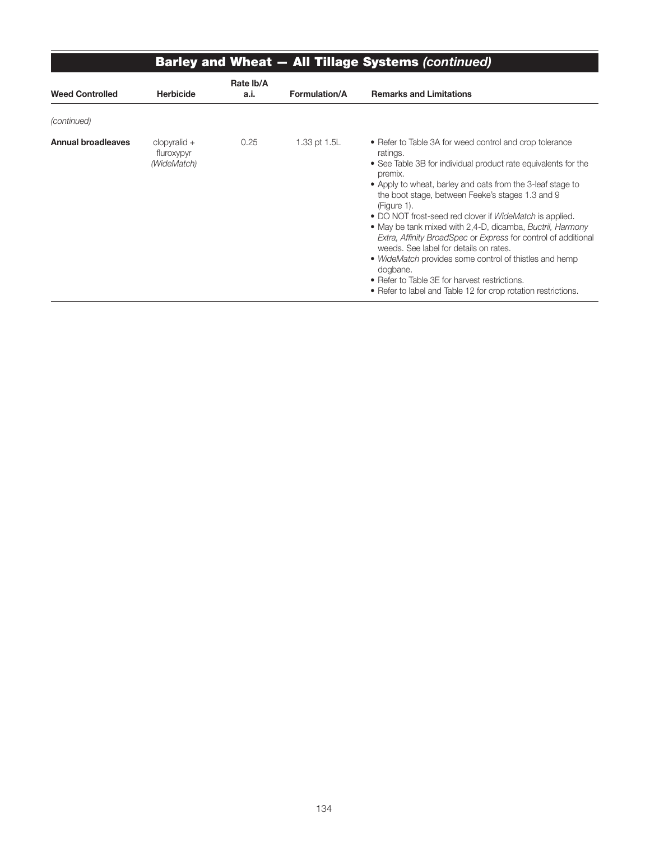|                           |                                             |                   |                      | <b>Barley and Wheat - All Tillage Systems (continued)</b>                                                                                                                                                                                                                                                                                                                                                                                                                                                                                                                                                                                                                                                            |
|---------------------------|---------------------------------------------|-------------------|----------------------|----------------------------------------------------------------------------------------------------------------------------------------------------------------------------------------------------------------------------------------------------------------------------------------------------------------------------------------------------------------------------------------------------------------------------------------------------------------------------------------------------------------------------------------------------------------------------------------------------------------------------------------------------------------------------------------------------------------------|
| <b>Weed Controlled</b>    | <b>Herbicide</b>                            | Rate Ib/A<br>a.i. | <b>Formulation/A</b> | <b>Remarks and Limitations</b>                                                                                                                                                                                                                                                                                                                                                                                                                                                                                                                                                                                                                                                                                       |
| (continued)               |                                             |                   |                      |                                                                                                                                                                                                                                                                                                                                                                                                                                                                                                                                                                                                                                                                                                                      |
| <b>Annual broadleaves</b> | $clopyralid +$<br>fluroxypyr<br>(WideMatch) | 0.25              | 1.33 pt 1.5L         | • Refer to Table 3A for weed control and crop tolerance<br>ratings.<br>• See Table 3B for individual product rate equivalents for the<br>premix.<br>• Apply to wheat, barley and oats from the 3-leaf stage to<br>the boot stage, between Feeke's stages 1.3 and 9<br>(Figure 1).<br>• DO NOT frost-seed red clover if <i>WideMatch</i> is applied.<br>• May be tank mixed with 2,4-D, dicamba, Buctril, Harmony<br>Extra, Affinity BroadSpec or Express for control of additional<br>weeds. See label for details on rates.<br>• WideMatch provides some control of thistles and hemp<br>dogbane.<br>• Refer to Table 3E for harvest restrictions.<br>• Refer to label and Table 12 for crop rotation restrictions. |

j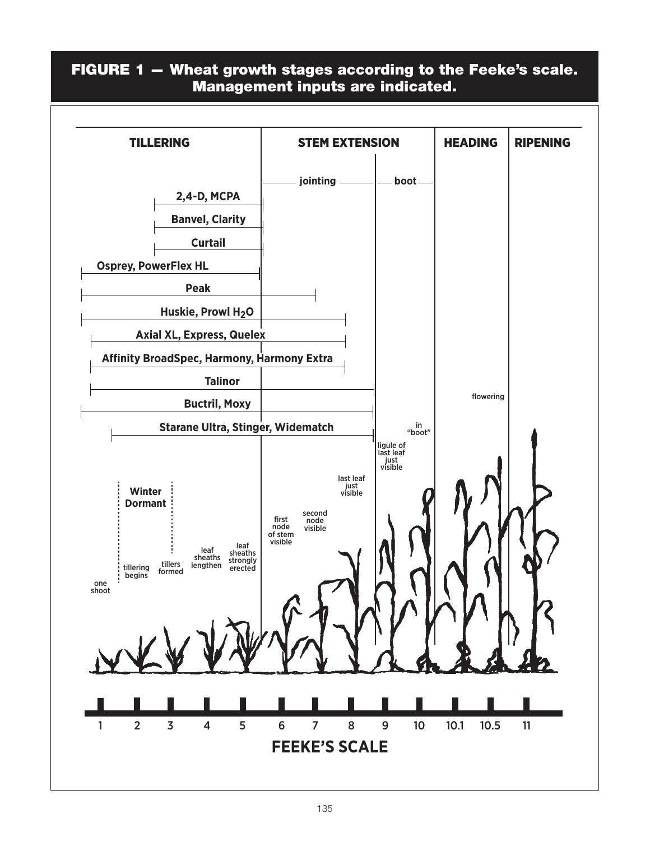### FIGURE 1 — Wheat growth stages according to the Feeke's scale. Management inputs are indicated.

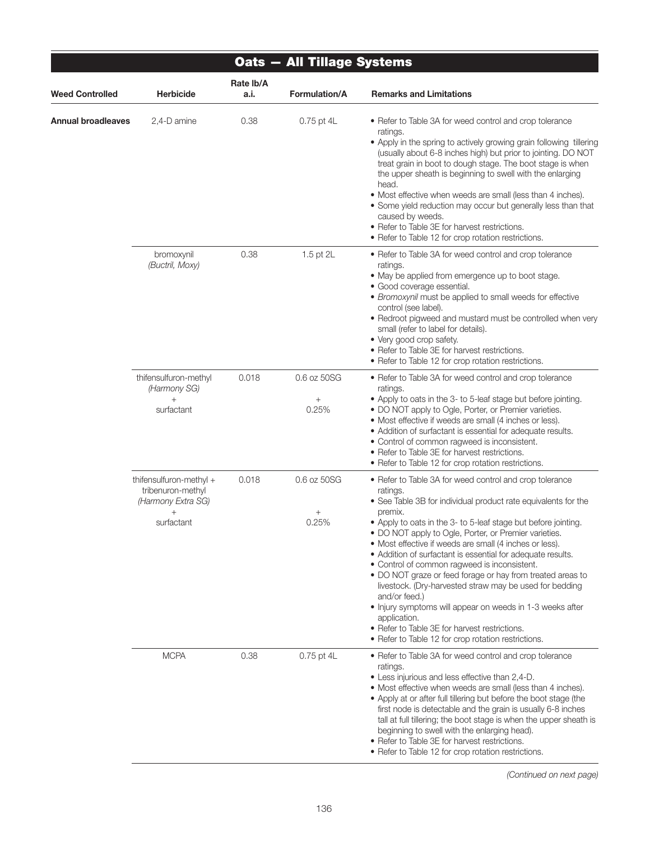| <b>Oats - All Tillage Systems</b> |                                                                                               |                   |                                |                                                                                                                                                                                                                                                                                                                                                                                                                                                                                                                                                                                                                                                                                                                                                                                      |  |
|-----------------------------------|-----------------------------------------------------------------------------------------------|-------------------|--------------------------------|--------------------------------------------------------------------------------------------------------------------------------------------------------------------------------------------------------------------------------------------------------------------------------------------------------------------------------------------------------------------------------------------------------------------------------------------------------------------------------------------------------------------------------------------------------------------------------------------------------------------------------------------------------------------------------------------------------------------------------------------------------------------------------------|--|
| <b>Weed Controlled</b>            | <b>Herbicide</b>                                                                              | Rate Ib/A<br>a.i. | <b>Formulation/A</b>           | <b>Remarks and Limitations</b>                                                                                                                                                                                                                                                                                                                                                                                                                                                                                                                                                                                                                                                                                                                                                       |  |
| Annual broadleaves                | 2,4-D amine                                                                                   | 0.38              | 0.75 pt 4L                     | • Refer to Table 3A for weed control and crop tolerance<br>ratings.<br>• Apply in the spring to actively growing grain following tillering<br>(usually about 6-8 inches high) but prior to jointing. DO NOT<br>treat grain in boot to dough stage. The boot stage is when<br>the upper sheath is beginning to swell with the enlarging<br>head.<br>• Most effective when weeds are small (less than 4 inches).<br>• Some yield reduction may occur but generally less than that<br>caused by weeds.<br>• Refer to Table 3E for harvest restrictions.<br>• Refer to Table 12 for crop rotation restrictions.                                                                                                                                                                          |  |
|                                   | bromoxynil<br>(Buctril, Moxy)                                                                 | 0.38              | 1.5 pt 2L                      | • Refer to Table 3A for weed control and crop tolerance<br>ratings.<br>• May be applied from emergence up to boot stage.<br>• Good coverage essential.<br>• Bromoxynil must be applied to small weeds for effective<br>control (see label).<br>• Redroot pigweed and mustard must be controlled when very<br>small (refer to label for details).<br>• Very good crop safety.<br>• Refer to Table 3E for harvest restrictions.<br>• Refer to Table 12 for crop rotation restrictions.                                                                                                                                                                                                                                                                                                 |  |
|                                   | thifensulfuron-methyl<br>(Harmony SG)<br>$^{+}$<br>surfactant                                 | 0.018             | 0.6 oz 50SG<br>$^{+}$<br>0.25% | • Refer to Table 3A for weed control and crop tolerance<br>ratings.<br>• Apply to oats in the 3- to 5-leaf stage but before jointing.<br>• DO NOT apply to Ogle, Porter, or Premier varieties.<br>• Most effective if weeds are small (4 inches or less).<br>• Addition of surfactant is essential for adequate results.<br>• Control of common ragweed is inconsistent.<br>• Refer to Table 3E for harvest restrictions.<br>• Refer to Table 12 for crop rotation restrictions.                                                                                                                                                                                                                                                                                                     |  |
|                                   | thifensulfuron-methyl +<br>tribenuron-methyl<br>(Harmony Extra SG)<br>$\ddot{}$<br>surfactant | 0.018             | 0.6 oz 50SG<br>0.25%           | • Refer to Table 3A for weed control and crop tolerance<br>ratings.<br>• See Table 3B for individual product rate equivalents for the<br>premix.<br>• Apply to oats in the 3- to 5-leaf stage but before jointing.<br>• DO NOT apply to Ogle, Porter, or Premier varieties.<br>• Most effective if weeds are small (4 inches or less).<br>• Addition of surfactant is essential for adequate results.<br>• Control of common ragweed is inconsistent.<br>• DO NOT graze or feed forage or hay from treated areas to<br>livestock. (Dry-harvested straw may be used for bedding<br>and/or feed.)<br>• Injury symptoms will appear on weeds in 1-3 weeks after<br>application.<br>• Refer to Table 3E for harvest restrictions.<br>• Refer to Table 12 for crop rotation restrictions. |  |
|                                   | <b>MCPA</b>                                                                                   | 0.38              | 0.75 pt 4L                     | • Refer to Table 3A for weed control and crop tolerance<br>ratings.<br>• Less injurious and less effective than 2,4-D.<br>• Most effective when weeds are small (less than 4 inches).<br>• Apply at or after full tillering but before the boot stage (the<br>first node is detectable and the grain is usually 6-8 inches<br>tall at full tillering; the boot stage is when the upper sheath is<br>beginning to swell with the enlarging head).<br>• Refer to Table 3E for harvest restrictions.<br>• Refer to Table 12 for crop rotation restrictions.                                                                                                                                                                                                                             |  |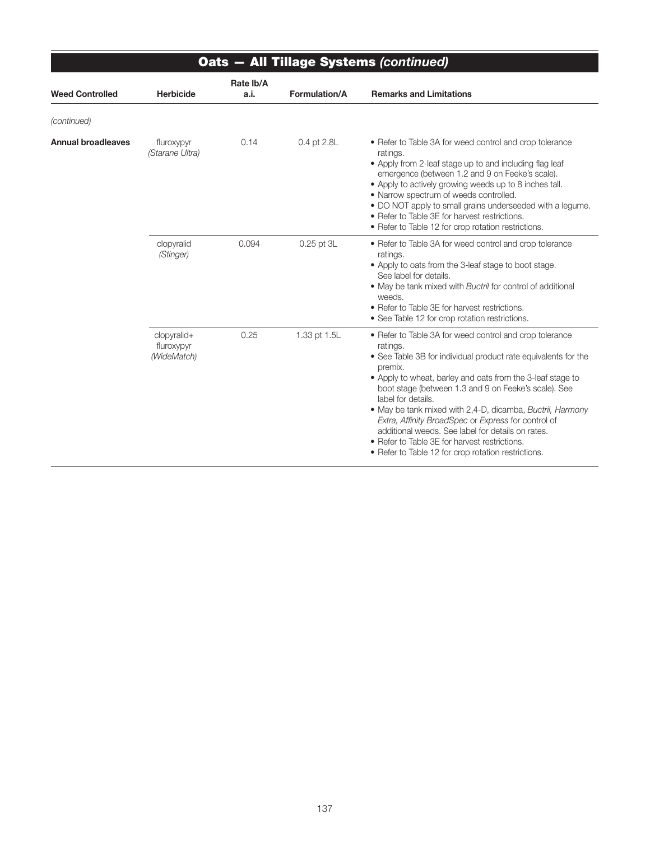| <b>Oats - All Tillage Systems (continued)</b> |                                          |                   |                |                                                                                                                                                                                                                                                                                                                                                                                                                                                                                                                                                                               |  |
|-----------------------------------------------|------------------------------------------|-------------------|----------------|-------------------------------------------------------------------------------------------------------------------------------------------------------------------------------------------------------------------------------------------------------------------------------------------------------------------------------------------------------------------------------------------------------------------------------------------------------------------------------------------------------------------------------------------------------------------------------|--|
| <b>Weed Controlled</b>                        | <b>Herbicide</b>                         | Rate Ib/A<br>a.i. | Formulation/A  | <b>Remarks and Limitations</b>                                                                                                                                                                                                                                                                                                                                                                                                                                                                                                                                                |  |
| (continued)                                   |                                          |                   |                |                                                                                                                                                                                                                                                                                                                                                                                                                                                                                                                                                                               |  |
| <b>Annual broadleaves</b>                     | fluroxypyr<br>(Starane Ultra)            | 0.14              | 0.4 pt 2.8L    | • Refer to Table 3A for weed control and crop tolerance<br>ratings.<br>• Apply from 2-leaf stage up to and including flag leaf<br>emergence (between 1.2 and 9 on Feeke's scale).<br>• Apply to actively growing weeds up to 8 inches tall.<br>• Narrow spectrum of weeds controlled.<br>. DO NOT apply to small grains underseeded with a legume.<br>• Refer to Table 3E for harvest restrictions.<br>• Refer to Table 12 for crop rotation restrictions.                                                                                                                    |  |
|                                               | clopyralid<br>(Stinger)                  | 0.094             | $0.25$ pt $3L$ | • Refer to Table 3A for weed control and crop tolerance<br>ratings.<br>• Apply to oats from the 3-leaf stage to boot stage.<br>See label for details.<br>• May be tank mixed with Buctril for control of additional<br>weeds.<br>• Refer to Table 3E for harvest restrictions.<br>• See Table 12 for crop rotation restrictions.                                                                                                                                                                                                                                              |  |
|                                               | clopyralid+<br>fluroxypyr<br>(WideMatch) | 0.25              | 1.33 pt 1.5L   | • Refer to Table 3A for weed control and crop tolerance<br>ratings.<br>• See Table 3B for individual product rate equivalents for the<br>premix.<br>• Apply to wheat, barley and oats from the 3-leaf stage to<br>boot stage (between 1.3 and 9 on Feeke's scale). See<br>label for details.<br>• May be tank mixed with 2,4-D, dicamba, Buctril, Harmony<br>Extra, Affinity BroadSpec or Express for control of<br>additional weeds. See label for details on rates.<br>• Refer to Table 3E for harvest restrictions.<br>• Refer to Table 12 for crop rotation restrictions. |  |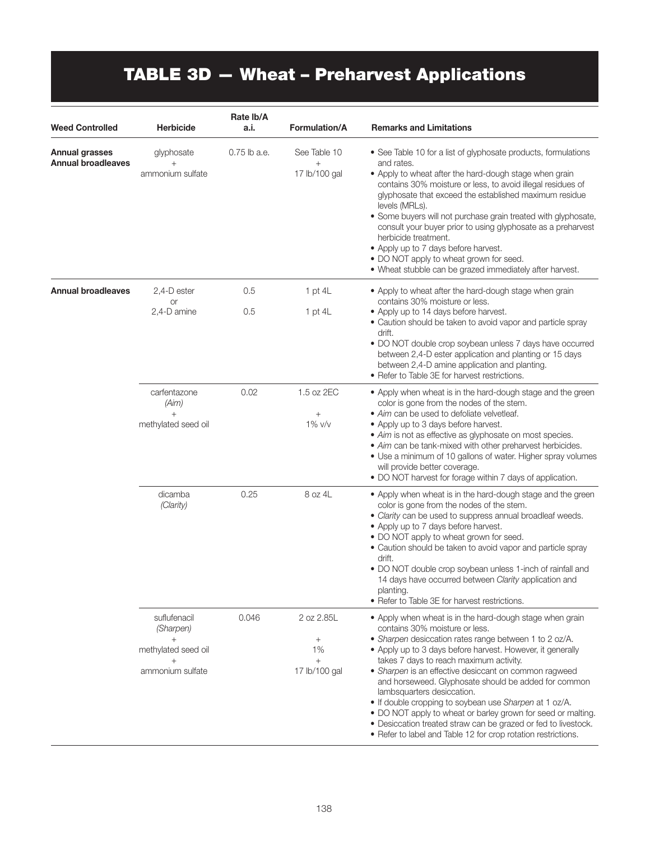# TABLE 3D — Wheat – Preharvest Applications

| <b>Weed Controlled</b>                             | <b>Herbicide</b>                         | Rate Ib/A<br>a.i. | Formulation/A                        | <b>Remarks and Limitations</b>                                                                                                                                                                                                                                                                                                                                                                                                                                                                                                                                                             |
|----------------------------------------------------|------------------------------------------|-------------------|--------------------------------------|--------------------------------------------------------------------------------------------------------------------------------------------------------------------------------------------------------------------------------------------------------------------------------------------------------------------------------------------------------------------------------------------------------------------------------------------------------------------------------------------------------------------------------------------------------------------------------------------|
| <b>Annual grasses</b><br><b>Annual broadleaves</b> | glyphosate<br>$^{+}$<br>ammonium sulfate | 0.75 lb a.e.      | See Table 10<br>$+$<br>17 lb/100 gal | • See Table 10 for a list of glyphosate products, formulations<br>and rates.<br>• Apply to wheat after the hard-dough stage when grain<br>contains 30% moisture or less, to avoid illegal residues of<br>glyphosate that exceed the established maximum residue<br>levels (MRLs).<br>• Some buyers will not purchase grain treated with glyphosate,<br>consult your buyer prior to using glyphosate as a preharvest<br>herbicide treatment.<br>• Apply up to 7 days before harvest.<br>• DO NOT apply to wheat grown for seed.<br>. Wheat stubble can be grazed immediately after harvest. |
| <b>Annual broadleaves</b>                          | 2,4-D ester<br>or                        | 0.5               | 1 pt $4L$                            | • Apply to wheat after the hard-dough stage when grain<br>contains 30% moisture or less.                                                                                                                                                                                                                                                                                                                                                                                                                                                                                                   |
|                                                    | 2,4-D amine                              | 0.5               | 1 pt $4L$                            | • Apply up to 14 days before harvest.<br>• Caution should be taken to avoid vapor and particle spray<br>drift.<br>• DO NOT double crop soybean unless 7 days have occurred<br>between 2,4-D ester application and planting or 15 days<br>between 2,4-D amine application and planting.<br>• Refer to Table 3E for harvest restrictions.                                                                                                                                                                                                                                                    |
|                                                    | carfentazone<br>(Aim)                    | 0.02              | 1.5 oz 2EC                           | • Apply when wheat is in the hard-dough stage and the green<br>color is gone from the nodes of the stem.                                                                                                                                                                                                                                                                                                                                                                                                                                                                                   |
|                                                    | $^{+}$<br>methylated seed oil            |                   | $^{+}$<br>1% v/v                     | • Aim can be used to defoliate velvetleaf.<br>• Apply up to 3 days before harvest.<br>• Aim is not as effective as glyphosate on most species.<br>• Aim can be tank-mixed with other preharvest herbicides.<br>• Use a minimum of 10 gallons of water. Higher spray volumes<br>will provide better coverage.<br>• DO NOT harvest for forage within 7 days of application.                                                                                                                                                                                                                  |
|                                                    | dicamba<br>(Clarity)                     | 0.25              | 8 oz 4L                              | • Apply when wheat is in the hard-dough stage and the green<br>color is gone from the nodes of the stem.<br>• Clarity can be used to suppress annual broadleaf weeds.<br>• Apply up to 7 days before harvest.<br>• DO NOT apply to wheat grown for seed.<br>• Caution should be taken to avoid vapor and particle spray<br>drift.<br>• DO NOT double crop soybean unless 1-inch of rainfall and<br>14 days have occurred between Clarity application and<br>planting.<br>• Refer to Table 3E for harvest restrictions.                                                                     |
|                                                    | suflufenacil<br>(Sharpen)                | 0.046             | 2 oz 2.85L                           | • Apply when wheat is in the hard-dough stage when grain<br>contains 30% moisture or less.                                                                                                                                                                                                                                                                                                                                                                                                                                                                                                 |
|                                                    | $+$<br>methylated seed oil               |                   | $\! + \!\!\!\!$<br>1%                | • Sharpen desiccation rates range between 1 to 2 oz/A.<br>• Apply up to 3 days before harvest. However, it generally                                                                                                                                                                                                                                                                                                                                                                                                                                                                       |
|                                                    | ammonium sulfate                         |                   | $+$<br>17 lb/100 gal                 | takes 7 days to reach maximum activity.<br>• Sharpen is an effective desiccant on common ragweed<br>and horseweed. Glyphosate should be added for common<br>lambsquarters desiccation.<br>. If double cropping to soybean use Sharpen at 1 oz/A.<br>. DO NOT apply to wheat or barley grown for seed or malting.<br>· Desiccation treated straw can be grazed or fed to livestock.<br>• Refer to label and Table 12 for crop rotation restrictions.                                                                                                                                        |